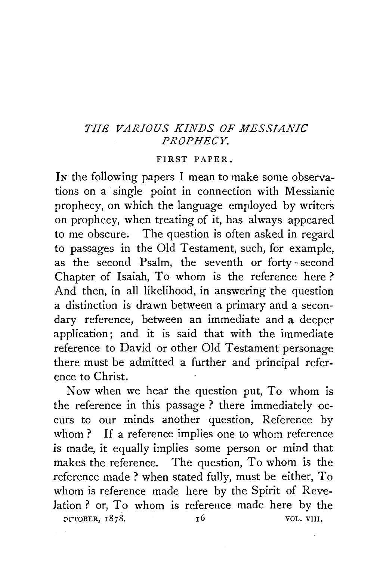## *THE VARIOUS KINDS OF MESSIANIC PROPHECY.*

## FIRST PAPER.

In the following papers I mean to make some observations on a single point in connection with Messianic prophecy, on which the language employed by writers on prophecy, when treating of it, has always appeared to me obscure. The question is often asked in regard to passages in the Old Testament, such, for example, as the second Psalm, the seventh or forty -second Chapter of Isaiah, To whom is the reference here? And then, in all likelihood, in answering the question a distinction is drawn between a primary and a secondary reference, between an immediate and a deeper application; and it is said that with the immediate reference to David or other Old Testament personage there must be admitted a further and principal reference to Christ.

Now when we hear the question put, To whom is the reference in this passage ? there immediately occurs to our minds another question, Reference by whom ? If a reference implies one to whom reference is made, it equally implies some person or mind that makes the reference. The question, To whom is the reference made? when stated fully, must be either, To whom is reference made here by the Spirit of Revelation? or, To whom is reference made here by the остовек, 1878.  $\overline{v}$  vol. VIII.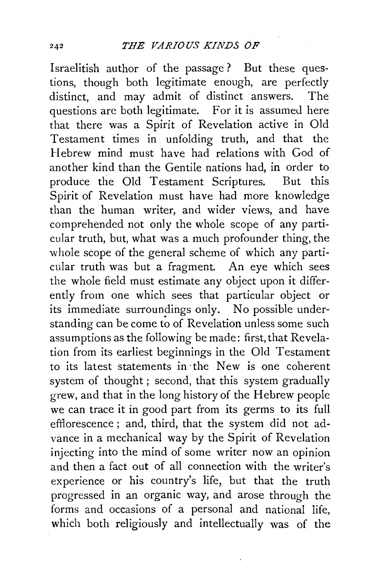Israelitish author of the passage? But these questions, though both legitimate enough, are perfectly distinct, and may admit of distinct answers. The questions are both legitimate. For it is assumed here that there was a Spirit of Revelation active in Old Testament times in unfolding truth, and that the Hebrew mind must have had relations with God of another kind than the Gentile nations had, in order to produce the Old Testament Scriptures. But this Spirit of Revelation must have had more knowledge than the human writer, and wider views, and have comprehended not only the whole scope of any particular truth, but, what was a much profounder thing, the whole scope of the general scheme of which any particular truth was but a fragment. An eye which sees the whole field must estimate any object upon it differently from one which sees that particular object or its immediate surroundings only. No possible understanding can be come to of Revelation unless some such assumptions as the following be made: first, that Revelation from its earliest beginnings in the Old Testament to its latest statements in ·the New is one coherent system of thought ; second, that this system gradually grew, and that in the long history of the Hebrew people we can trace it in good part from its germs to its full efflorescence; and, third, that the system did not advance in a mechanical way by the Spirit of Revelation injecting into the mind of some writer now an opinion and then a fact out of all connection with the writer's experience or his country's life, but that the truth progressed in an organic way, and arose through the forms and occasions of a personal and national life, which both religiously and intellectually was of the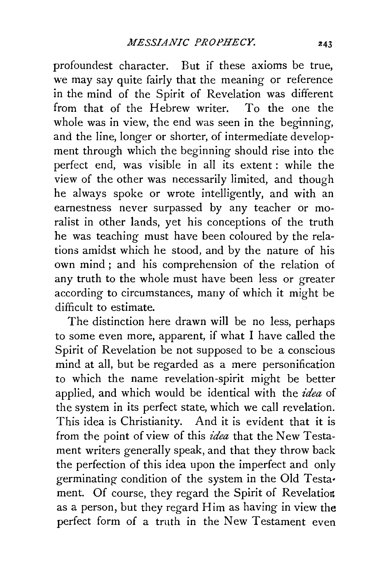profoundest character. But if these axioms be true, we may say quite fairly that the meaning or reference in the mind of the Spirit of Revelation was different from that of the Hebrew writer. To the one the whole was in view, the end was seen in the beginning, and the line, longer or shorter, of intermediate development through which the beginning should rise into the perfect end, was visible in all its extent : while the view of the other was necessarily limited, and though he always spoke or wrote intelligently, and with an earnestness never surpassed by any teacher or moralist in other lands, yet his conceptions of the truth he was teaching must have been coloured by the relations amidst which he stood, and by the nature of his own mind; and his comprehension of the relation of any truth to the whole must have been less or greater according to circumstances, many of which it might be difficult to estimate.

The distinction here drawn will be no less, perhaps to some even more, apparent, if what I have called the Spirit of Revelation be not supposed to be a conscious mind at all, but be regarded as a mere personification to which the name revelation-spirit might be better applied, and which would be identical with the *idea* of the system in its perfect state, which we call revelation. This idea is Christianity. And it is evident that it is from the point of view of this *idea* that the New Testament writers generally speak, and that they throw back the perfection of this idea upon the imperfect and only germinating condition of the system in the Old Testa• ment. Of course, they regard the Spirit of Revelation as a person, but they regard Him as having in view the perfect form of a truth in the New Testament even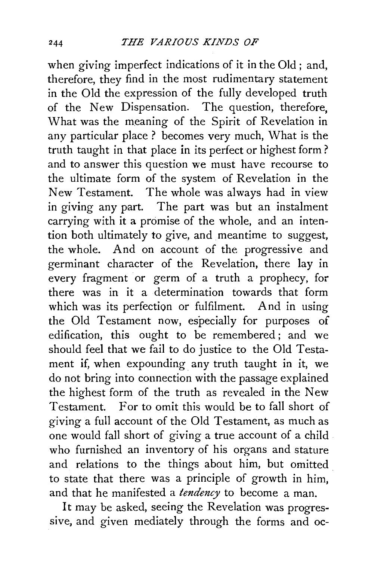when giving imperfect indications of it in the Old ; and, therefore, they find in the most rudimentary statement in the Old the expression of the fully developed truth of the New Dispensation. The question, therefore, What was the meaning of the Spirit of Revelation in any particular place? becomes very much, What is the truth taught in that place in its perfect or highest form? and to answer this question we must have recourse to the ultimate form of the system of Revelation in the New Testament. The whole was always had in view in giving any part. The part was but an instalment carrying with it a promise of the whole, and an intention both ultimately to give, and meantime to suggest, the whole. And on account of the progressive and germinant character of the Revelation, there lay in every fragment or germ of a truth a prophecy, for there was in it a determination towards that form which was its perfection or fulfilment. And in using the Old Testament now, especially for purposes of edification, this ought to be remembered ; and we should feel that we fail to do justice to the Old Testament if, when expounding any truth taught in it, we do not bring into connection with the passage explained the highest form of the truth as revealed in the New Testament. For to omit this would be to fall short of giving a full account of the Old Testament, as much as one would fall short of giving a true account of a child who furnished an inventory of his organs and stature and relations to the things about him, but omitted to state that there was a principle of growth in him, and that he manifested a *tendency* to become a man.

It may be asked, seeing the Revelation was progressive, and given mediately through the forms and oc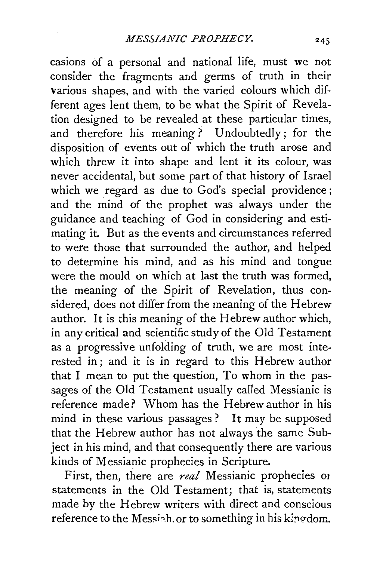casions of a personal and national life, must we not consider the fragments and germs of truth in their various shapes, and with the varied colours which different ages lent them, to be what the Spirit of Revelation designed to be revealed at these particular times, and therefore his meaning ? Undoubtedly; for the disposition of events out of which the truth arose and which threw it into shape and lent it its colour, was never accidental, but some part of that history of Israel which we regard as due to God's special providence; and the mind of the prophet was always under the guidance and teaching of God in considering and estimating it. But as the events and circumstances referred to were those that surrounded the author, and helped to determine his mind, and as his mind and tongue were the mould on which at last the truth was formed, the meaning of the Spirit of Revelation, thus considered, does not differ from the meaning of the Hebrew author. It is this meaning of the Hebrew author which, in any critical and scientific study of the Old Testament as a progressive unfolding of truth, we are most interested in; and it is in regard to this Hebrew author that I mean to put the question, To whom in the passages of the Old Testament usually called Messianic is reference made? Whom has the Hebrew author in his mind in these various passages ? It may be supposed that the Hebrew author has not always the same Subject in his mind, and that consequently there are various kinds of Messianic prophecies in Scripture.

First, then, there are *real* Messianic prophecies or statements in the Old Testament; that is, statements made by the Hebrew writers with direct and conscious reference to the Messiah. or to something in his kinedom.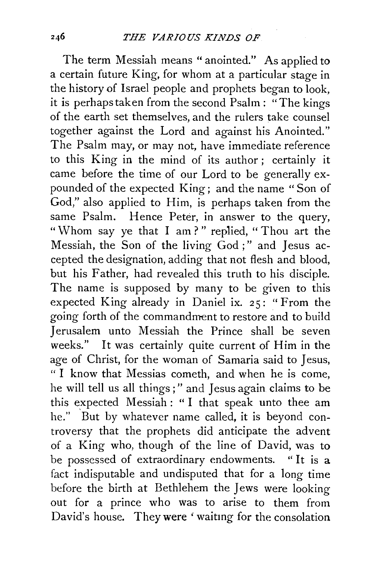The term Messiah means "anointed." As applied to a certain future King, for whom at a particular stage in the history of Israel people and prophets began to look, it is perhaps taken from the second Psalm : "The kings of the earth set themselves, and the rulers take counsel together against the Lord and against his Anointed." The Psalm may, or may not, have immediate reference to this King in the mind of its author; certainly it came before the time of our Lord to be generally expounded of the expected King; and the name " Son of God," also applied to Him, is perhaps taken from the same Psalm. Hence Peter, in answer to the query, "Whom say ye that I am?" replied, "Thou art the Messiah, the Son of the living God ;" and Jesus accepted the designation, adding that not flesh and blood, but his Father, had revealed this truth to his disciple. The name is supposed by many to be given to this expected King already in Daniel ix. 25: "From the going forth of the commandment to restore and to build Jerusalem unto Messiah the Prince shall be seven weeks." It was certainly quite current of Him in the age of Christ, for the woman of Samaria said to Jesus, "I know that Messias cometh, and when he is come, he will tell us all things ; " and Jesus again claims to be this expected Messiah: "I that speak unto thee am he." But by whatever name called, it is beyond controversy that the prophets did anticipate the advent of a King who, though of the line of David, was to be possessed of extraordinary endowments. "It is a fact indisputable and undisputed that for a long time before the birth at Bethlehem the Jews were looking out for a prince who was to arise to them from David's house. They were 'waitmg for the consolation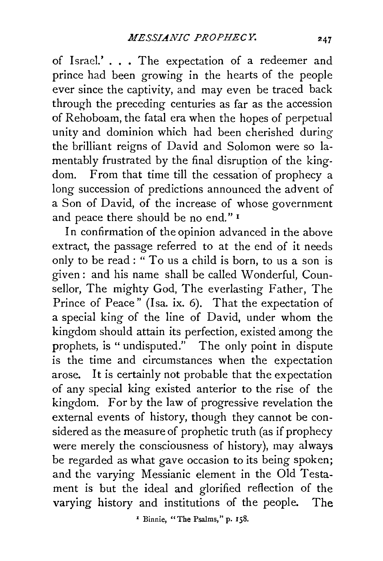of Israel.' ..• The expectation of a redeemer and prince had been growing in the hearts of the people ever since the captivity, and may even be traced back through the preceding centuries as far as the accession of Rehoboam, the fatal era when the hopes of perpetual unity and dominion which had been cherished during the brilliant reigns of David and Solomon were so lamentably frustrated by the final disruption of the kingdom. From that time till the cessation of prophecy a long succession of predictions announced the advent of a Son of David, of the increase of whose government and peace there should be no end." <sup>1</sup>

In confirmation of the opinion advanced in the above extract, the passage referred to at the end of it needs only to be read : " To us a child is born, to us a son is given : and his name shall be called Wonderful, Counsellor, The mighty God, The everlasting Father, The Prince of Peace" (Isa. ix. 6). That the expectation of a special king of the line of David, under whom the kingdom should attain its perfection, existed among the prophets, is " undisputed." The only point in dispute is the time and circumstances when the expectation arose. It is certainly not probable that the expectation of any special king existed anterior to the rise of the kingdom. For by the law of progressive revelation the external events of history, though they cannot be considered as the measure of prophetic truth (as if prophecy were merely the consciousness of history), may always be regarded as what gave occasion to its being spoken; and the varying Messianic element in the Old Testament is but the ideal and glorified reflection of the varying history and institutions of the people. The

<sup>1</sup> Binnie, "The Psalms," p. 158.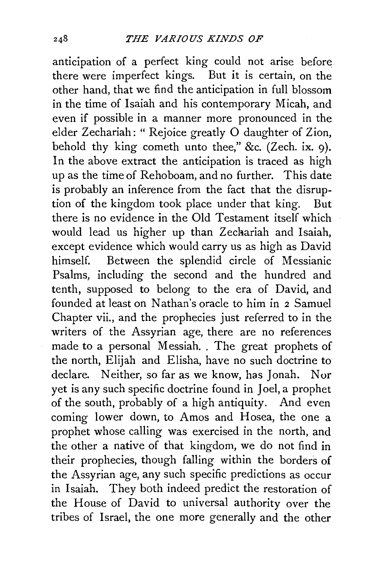anticipation of a perfect king could not arise before there were imperfect kings. But it is certain, on the other hand, that we find the anticipation in full blossom in the time of Isaiah and his contemporary Micah, and even if possible in a manner more pronounced in the elder Zechariah: " Rejoice greatly 0 daughter of Zion, behold thy king cometh unto thee," &c. (Zech. ix. 9). In the above extract the anticipation is traced as high up as the time of Rehoboam, and no further. This date is probably an inference from the fact that the disruption of the kingdom took place under that king. But there is no evidence in the Old Testament itself which would lead us higher up than Zechariah and Isaiah. except evidence which would carry us as high as David himself. Between the splendid circle of Messianic Psalms, including the second and the hundred and tenth, supposed to belong to the era of David, and founded at least on Nathan's oracle to him in 2 Samuel Chapter vii., and the prophecies just referred to in the writers of the Assyrian age, there are no references made to a personal Messiah. The great prophets of the north, Elijah and Elisha, have no such doctrine to declare. Neither, so far as we know, has Jonah. Nor yet is any such specific doctrine found in Joel, a prophet of the south, probably of a high antiquity. And even coming lower down, to Amos and Hosea, the one a prophet whose calling was exercised in the north, and the other a native of that kingdom, we do not find in their prophecies, though falling within the borders of the Assyrian age, any such specific predictions as occur in Isaiah. They both indeed predict the restoration of the House of David to universal authority over the tribes of Israel, the one more generally and the other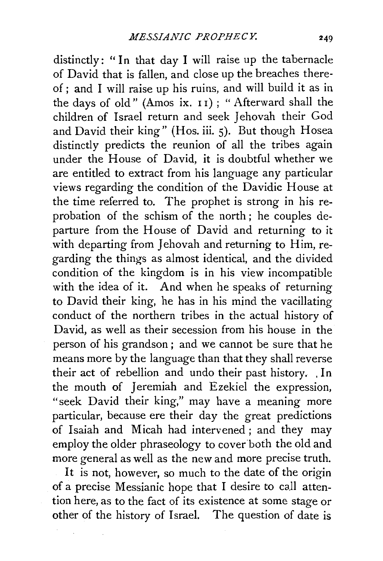distinctly: "In that day I will raise up the tabernacle of David that is fallen, and close up the breaches thereof ; and I will raise up his ruins, and will build it as in the days of old" (Amos ix. 11) ; "Afterward shall the children of Israel return and seek Jehovah their God and David their king" (Hos. iii. 5). But though Hosea distinctly predicts the reunion of all the tribes again under the House of David, it is doubtful whether we are entitled to extract from his language any particular views regarding the condition of the Davidic House at the time referred to. The prophet is strong in his reprobation of the schism of the north ; he couples departure from the House of David and returning to it with departing from Jehovah and returning to Him, regarding the things as almost identical, and the divided condition of the kingdom is in his view incompatible with the idea of it. And when he speaks of returning to David their king, he has in his mind the vacillating conduct of the northern tribes in the actual history of David, as well as their secession from his house in the person of his grandson ; and we cannot be sure that he means more by the language than that they shall reverse their act of rebellion and undo their past history. . In the mouth of Jeremiah and Ezekiel the expression, "seek David their king," may have a meaning more particular, because ere their day the great predictions of Isaiah and Micah had intervened ; and they may employ the older phraseology to cover both the old and more general as well as the new and more precise truth.

It is not, however, so much to the date of the origin of a precise Messianic hope that I desire to caJl attention here, as to the fact of its existence at some stage or other of the history of Israel. The question of date is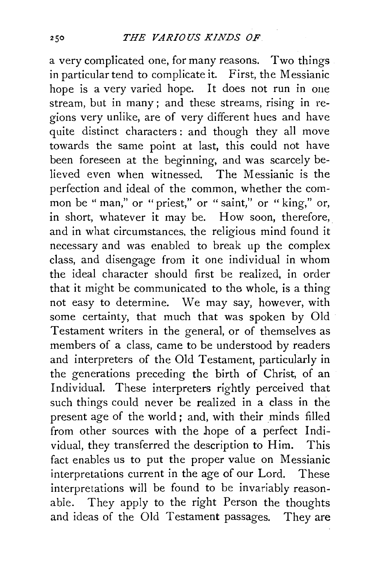a very complicated one, for many reasons. Two things in particular tend to complicate it. First, the Messianic hope is a very varied hope. It does not run in one stream, but in many ; and these streams, rising in regions very unlike, are of very different hues and have quite distinct characters: and though they all move towards the same point at last, this could not have been foreseen at the beginning, and was scarcely believed even when witnessed. The Messianic is the perfection and ideal of the common, whether the common be "man," or "priest," or " saint," or " king," or, in short, whatever it may be. How soon, therefore, and in what circumstances, the religious mind found it necessary and was enabled to break up the complex class, and disengage from it one individual in whom the ideal character should first be realized, in order that it might be communicated to the whole, is a thing not easy to determine. We may say, however, with some certainty, that much that was spoken by Old Testament writers in the general, or of themselves as members of a class, came to be understood by readers and interpreters of the Old Testament, particularly in the generations preceding the birth of Christ, of an Individual. These interpreters rightly perceived that such things could never be realized in a class in the present age of the world ; and, with their minds filled from other sources with the hope of a perfect Individual, they transferred the description to Him. This fact enables us to put the proper value on Messianic interpretations current in the age of our Lord. These interpretations will be found to be invariably reasonabie. They apply to the right Person the thoughts and ideas of the Old Testament passages. They are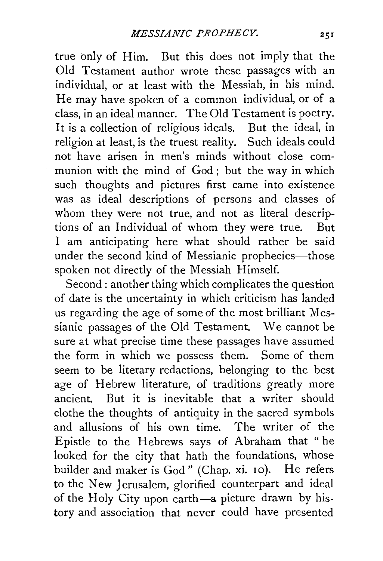true only of Him. But this does not imply that the Old Testament author wrote these passages with an individual, or at least with the Messiah, in his mind. He may have spoken of a common individual, or of a class, in an ideal manner. The Old Testament is poetry. It is a collection of religious ideals. But the ideal, in religion at least, is the truest reality. Such ideals could not have arisen in men's minds without close communion with the mind of God ; but the way in which such thoughts and pictures first came into existence was as ideal descriptions of persons and classes of whom they were not true, and not as literal descriptions of an Individual of whom they were true. But I am anticipating here what should rather be said under the second kind of Messianic prophecies-those spoken not directly of the Messiah Himself.

Second: another thing which complicates the question of date is the uncertainty in which criticism has landed us regarding the age of some of the most brilliant Messianic passages of the Old Testament. We cannot be sure at what precise time these passages have assumed the form in which we possess them. Some of them seem to be literary redactions, belonging to the best age of Hebrew literature, of traditions greatly more ancient. But it is inevitable that a writer should clothe the thoughts of antiquity in the sacred symbols and allusions of his own time. The writer of the Epistle to the Hebrews says of Abraham that "he looked for the city that hath the foundations, whose builder and maker is God" (Chap. xi. 10). He refers to the New Jerusalem, glorified counterpart and ideal of the Holy City upon earth-a picture drawn by history and association that never could have presented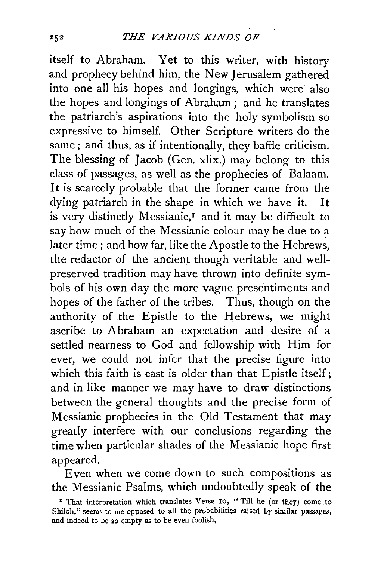itself to Abraham. Yet to this writer, with history and prophecy behind him, the New Jerusalem gathered into one all his hopes and longings, which were also the hopes and longings of Abraham ; and he translates the patriarch's aspirations into the holy symbolism so expressive to himself. Other Scripture writers do the same; and thus, as if intentionally, they baffle criticism. The blessing of Jacob (Gen. xlix.) may belong to this class of passages, as well as the prophecies of Balaam. It is scarcely probable that the former came from the dying patriarch in the shape in which we have it. It is very distinctly Messianic,<sup>1</sup> and it may be difficult to say how much of the Messianic colour may be due to a later time; and how far, like the Apostle to the Hebrews, the redactor of the ancient though veritable and wellpreserved tradition may have thrown into definite symbols of his own day the more vague presentiments and hopes of the father of the tribes. Thus, though on the authority of the Epistle to the Hebrews, we might ascribe to Abraham an expectation and desire of a settled nearness to God and fellowship with Him for ever, we could not infer that the precise figure into which this faith is cast is older than that Epistle itself; and in like manner we may have to draw distinctions between the general thoughts and the precise form of Messianic prophecies in the Old Testament that may greatly interfere with our conclusions regarding the time when particular shades of the Messianic hope first appeared.

Even when we come down to such compositions as the Messianic Psalms, which undoubtedly speak of the

<sup>&</sup>lt;sup>1</sup> That interpretation which translates Verse 10, " Till he (or they) come to Shiloh," seems to me opposed to all the probabilities raised by similar passages, and indeed to be so empty as to be even foolish,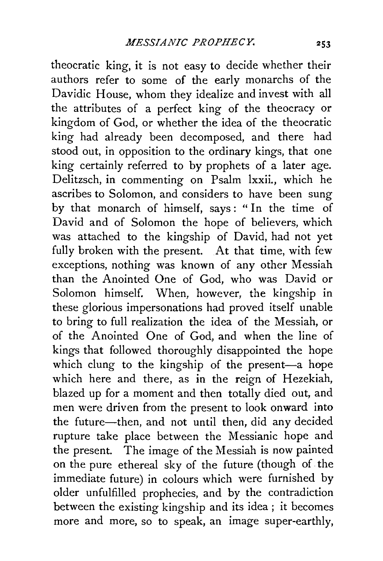theocratic king, it is not easy to decide whether their authors refer to some of the early monarchs of the Davidic House, whom they idealize and invest with all the attributes of a perfect king of the theocracy or kingdom of God, or whether the idea of the theocratic king had already been decomposed, and there had stood out, in opposition to the ordinary kings, that one king certainly referred to by prophets of a later age. Delitzsch, in commenting on Psalm lxxii., which he ascribes to Solomon, and considers to have been sung by that monarch of himself, says: "In the time of David and of Solomon the hope of believers, which was attached to the kingship of David, had not yet fully broken with the present. At that time, with few exceptions, nothing was known of any other Messiah than the Anointed One of God, who was David or Solomon himself. When, however, the kingship in these glorious impersonations had proved itself unable to bring to full realization the idea of the Messiah, or of the Anointed One of God, and when the line of kings that followed thoroughly disappointed the hope which clung to the kingship of the present-a hope which here and there, as in the reign of Hezekiah, blazed up for a moment and then totally died out, and men were driven from the present to look onward into the future-then, and not until then, did any decided rupture take place between the Messianic hope and the present. The image of the Messiah is now painted on the pure ethereal sky of the future (though of. the immediate future) in colours which were furnished by older unfulfilled prophecies, and by the contradiction between the existing kingship and its idea ; it becomes more and more, so to speak, an image super-earthly,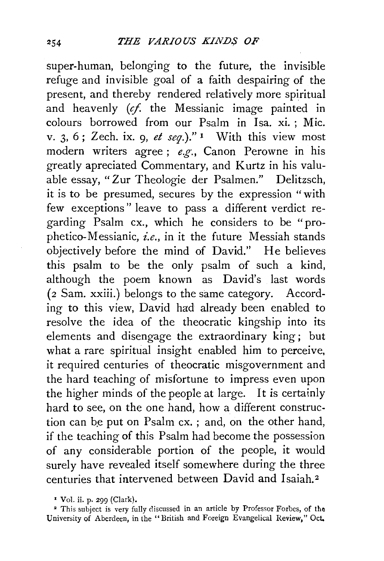super-human, belonging to the future, the invisible refuge and invisible goal of a faith despairing of the present, and thereby rendered relatively more spiritual and heavenly (cf. the Messianic image painted in colours borrowed from our Psalm in Isa. xi. ; Mic. v. 3, 6; Zech. ix. 9, *et seq.)."* 1 With this view most modern writers agree; *e.g.,* Canon Perowne in his greatly apreciated Commentary, and Kurtz in his valuable essay, "Zur Theologie der Psalmen." Delitzsch, it is to be presumed, secures by the expression "with few exceptions" leave to pass a different verdict regarding Psalm ex., which he considers to be "prophetico-Messianic, *i.e.,* in it the future Messiah stands objectively before the mind of David." He believes this psalm to be the only psalm of such a kind, although the poem known as David's last words (2 Sam. xxiii.) belongs to the same category. According to this view, David had already been enabled to resolve the idea of the theocratic kingship into its elements and disengage the extraordinary king; but what a rare spiritual insight enabled him to perceive, it required centuries of theocratic misgovernment and the hard teaching of misfortune to impress even upon the higher minds of the people at large. It is certainly hard to see, on the one hand, how a different construction can be put on Psalm cx.; and, on the other hand, if the teaching of this Psalm had become the possession of any considerable portion of the people, it would surely have revealed itself somewhere during the three centuries that intervened between David and Isaiah. <sup>2</sup>

<sup>•</sup> Vol. ii. P· 299 (Clark).

<sup>•</sup> This subject is very fully discussed in an article by Professor Forbes, of the University of Aberdeen, in the "British and Foreign Evangelical Review," Oct.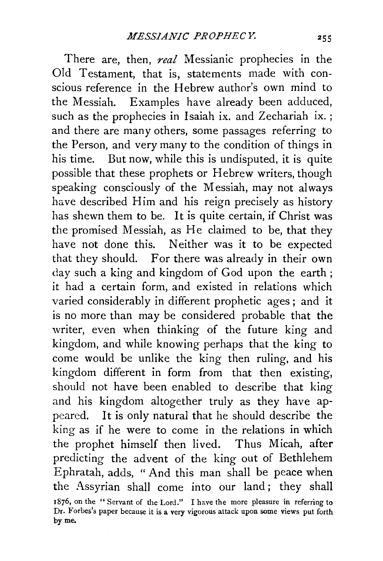There are, then, *real* Messianic prophecies in the Old Testament, that is, statements made with conscious reference in the Hebrew author's own mind to the Messiah. Examples have already been adduced, such as the prophecies in Isaiah ix. and Zechariah ix. ; and there are many others, some passages referring to the Person, and very many to the condition of things in his time. But now, while this is undisputed, it is quite possible that these prophets or Hebrew writers, though speaking consciously of the Messiah, may not always have described Him and his reign precisely as history has shewn them to be. It is quite certain, if Christ was the promised Messiah, as He claimed to be, that they have not done this. Neither was it to be expected that they should. For there was already in their own day such a king and kingdom of God upon the earth; it had a certain form, and existed in relations which varied considerably in different prophetic ages ; and it is no more than may be considered probable that the writer, even when thinking of the future king and kingdom, and while knowing perhaps that the king to come would be unlike the king then ruling, and his kingdom different in form from that then existing, should not have been enabled to describe that king and his kingdom altogether truly as they have appeared. It is only natural that he should describe the king as if he were to come in the relations in which the prophet himself then lived. Thus Micah, after predicting the advent of the king out of Bethlehem Ephratah, adds, "And this man shall be peace when the Assyrian shall come into our land; they shall 1876, on the " Servant of the Lord." I have the more pleasure in referring to Dr. Forbes's paper because it is a very vigorous attack upon some views put forth by me.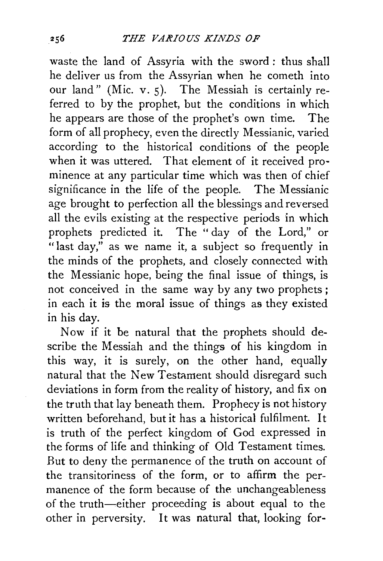waste the land of Assyria with the sword: thus shall he deliver us from the Assyrian when he cometh into our land" (Mic. v. 5). The Messiah is certainly referred to by the prophet, but the conditions in which he appears are those of the prophet's own time. The form of all prophecy, even the directly Messianic, varied according to the historical conditions of the people when it was uttered. That element of it received prominence at any particular time which was then of chief significance in the life of the people. The Messianic age brought to perfection all the blessings and reversed all the evils existing at the respective periods in which prophets predicted it. The " day of the Lord," or "last day," as we name it, a subject so frequently in the minds of the prophets, and closely connected with the Messianic hope, being the final issue of things, is not conceived in the same way by any two prophets; in each it is the moral issue of things as they existed in his day.

Now if it be natural that the prophets should describe the Messiah and the things of his kingdom in this way, it is surely, on the other hand, equally natural that the New Testament should disregard such deviations in form from the reality of history, and fix on the truth that lay beneath them. Prophecy is not history written beforehand, but it has a historical fulfilment. It is truth of the perfect kingdom of God expressed in the forms of life and thinking of Old Testament times. But to deny the permanence of the truth on account of the transitoriness of the form, or to affirm the permanence of the form because of the unchangeableness of the truth-either proceeding is about equal to the other in perversity. It was natural that, looking for-